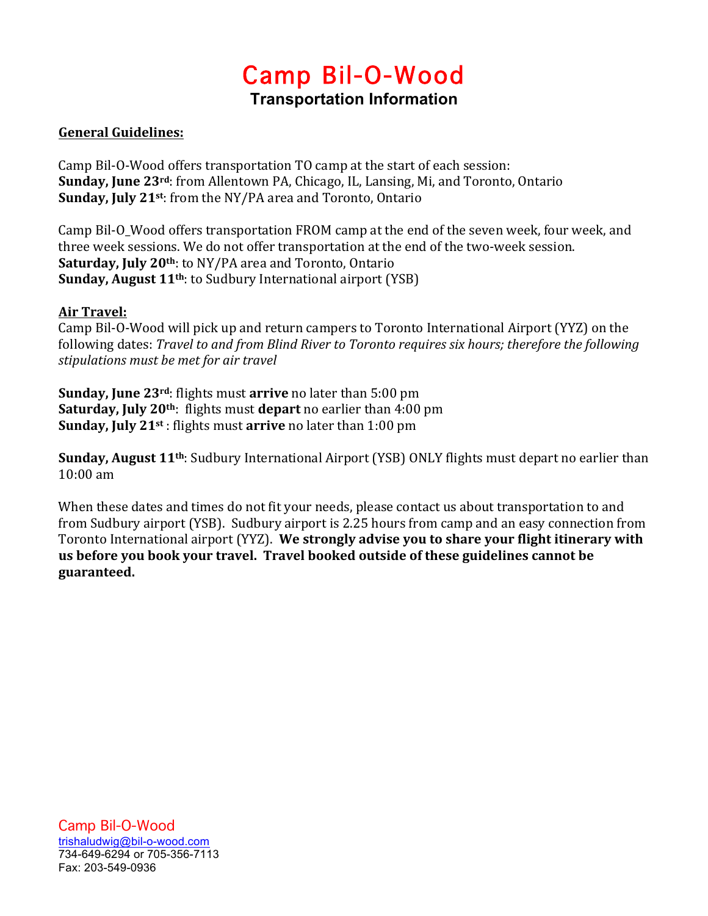# Camp Bil-O-Wood **Transportation Information**

# **General Guidelines:**

Camp Bil-O-Wood offers transportation TO camp at the start of each session: **Sunday, June 23<sup>rd</sup>:** from Allentown PA, Chicago, IL, Lansing, Mi, and Toronto, Ontario **Sunday, July 21st:** from the NY/PA area and Toronto, Ontario

Camp Bil-O Wood offers transportation FROM camp at the end of the seven week, four week, and three week sessions. We do not offer transportation at the end of the two-week session. **Saturday, July 20<sup>th</sup>:** to NY/PA area and Toronto, Ontario **Sunday, August 11<sup>th</sup>:** to Sudbury International airport (YSB)

## **Air Travel:**

Camp Bil-O-Wood will pick up and return campers to Toronto International Airport (YYZ) on the following dates: *Travel to and from Blind River to Toronto requires six hours; therefore the following stipulations must be met for air travel*

**Sunday, June 23<sup>rd</sup>:** flights must **arrive** no later than 5:00 pm **Saturday, July 20th:** flights must **depart** no earlier than 4:00 pm **Sunday, July 21st**: flights must **arrive** no later than 1:00 pm

**Sunday, August 11<sup>th</sup>:** Sudbury International Airport (YSB) ONLY flights must depart no earlier than  $10:00 \text{ am}$ 

When these dates and times do not fit your needs, please contact us about transportation to and from Sudbury airport (YSB). Sudbury airport is 2.25 hours from camp and an easy connection from Toronto International airport (YYZ). We strongly advise you to share your flight itinerary with us before you book your travel. Travel booked outside of these guidelines cannot be **guaranteed.**